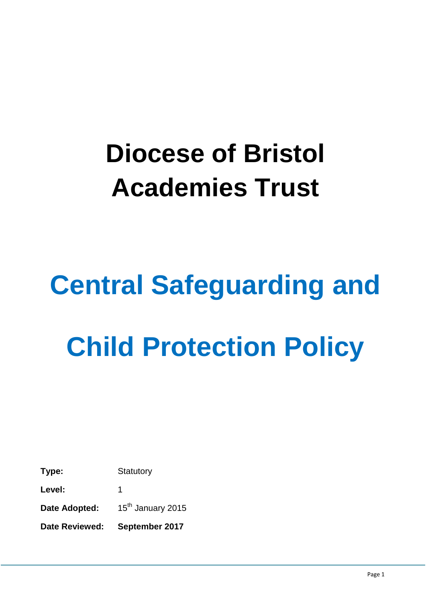# **Diocese of Bristol Academies Trust**

# **Central Safeguarding and Child Protection Policy**

**Type:** Statutory Level: 1 Date Adopted: 15<sup>th</sup> January 2015 **Date Reviewed: September 2017**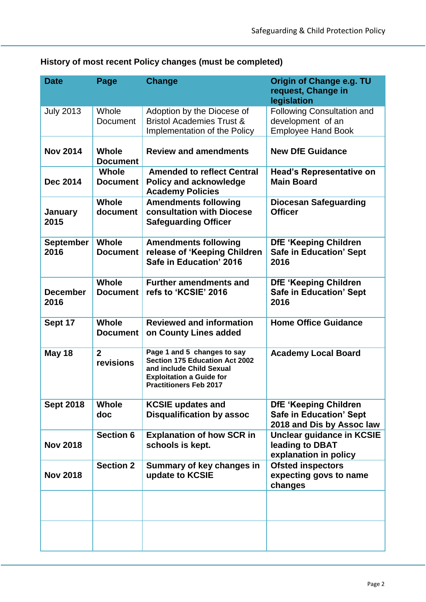| <b>Date</b>              | Page                            | <b>Change</b>                                                                                                                                                 | Origin of Change e.g. TU<br>request, Change in<br>legislation                        |
|--------------------------|---------------------------------|---------------------------------------------------------------------------------------------------------------------------------------------------------------|--------------------------------------------------------------------------------------|
| <b>July 2013</b>         | Whole<br><b>Document</b>        | Adoption by the Diocese of<br><b>Bristol Academies Trust &amp;</b><br>Implementation of the Policy                                                            | <b>Following Consultation and</b><br>development of an<br><b>Employee Hand Book</b>  |
| <b>Nov 2014</b>          | <b>Whole</b><br><b>Document</b> | <b>Review and amendments</b>                                                                                                                                  | <b>New DfE Guidance</b>                                                              |
| <b>Dec 2014</b>          | <b>Whole</b><br><b>Document</b> | <b>Amended to reflect Central</b><br><b>Policy and acknowledge</b><br><b>Academy Policies</b>                                                                 | <b>Head's Representative on</b><br><b>Main Board</b>                                 |
| January<br>2015          | <b>Whole</b><br>document        | <b>Amendments following</b><br>consultation with Diocese<br><b>Safeguarding Officer</b>                                                                       | <b>Diocesan Safeguarding</b><br><b>Officer</b>                                       |
| <b>September</b><br>2016 | Whole<br><b>Document</b>        | <b>Amendments following</b><br>release of 'Keeping Children<br>Safe in Education' 2016                                                                        | <b>DfE 'Keeping Children</b><br><b>Safe in Education' Sept</b><br>2016               |
| <b>December</b><br>2016  | Whole<br><b>Document</b>        | <b>Further amendments and</b><br>refs to 'KCSIE' 2016                                                                                                         | <b>DfE 'Keeping Children</b><br><b>Safe in Education' Sept</b><br>2016               |
| Sept 17                  | Whole<br><b>Document</b>        | <b>Reviewed and information</b><br>on County Lines added                                                                                                      | <b>Home Office Guidance</b>                                                          |
| <b>May 18</b>            | $\overline{2}$<br>revisions     | Page 1 and 5 changes to say<br>Section 175 Education Act 2002<br>and include Child Sexual<br><b>Exploitation a Guide for</b><br><b>Practitioners Feb 2017</b> | <b>Academy Local Board</b>                                                           |
| <b>Sept 2018</b>         | <b>Whole</b><br>doc             | <b>KCSIE updates and</b><br><b>Disqualification by assoc</b>                                                                                                  | DfE 'Keeping Children<br><b>Safe in Education' Sept</b><br>2018 and Dis by Assoc law |
| <b>Nov 2018</b>          | <b>Section 6</b>                | <b>Explanation of how SCR in</b><br>schools is kept.                                                                                                          | <b>Unclear guidance in KCSIE</b><br>leading to DBAT<br>explanation in policy         |
| <b>Nov 2018</b>          | <b>Section 2</b>                | Summary of key changes in<br>update to KCSIE                                                                                                                  | <b>Ofsted inspectors</b><br>expecting govs to name<br>changes                        |
|                          |                                 |                                                                                                                                                               |                                                                                      |
|                          |                                 |                                                                                                                                                               |                                                                                      |

# **History of most recent Policy changes (must be completed)**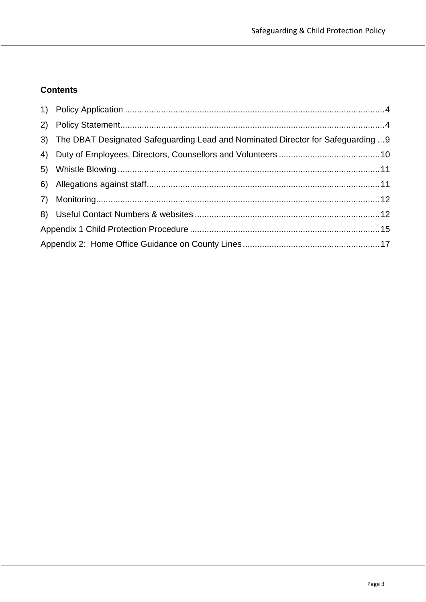### **Contents**

| 3) The DBAT Designated Safeguarding Lead and Nominated Director for Safeguarding  9 |  |
|-------------------------------------------------------------------------------------|--|
|                                                                                     |  |
|                                                                                     |  |
|                                                                                     |  |
|                                                                                     |  |
|                                                                                     |  |
|                                                                                     |  |
|                                                                                     |  |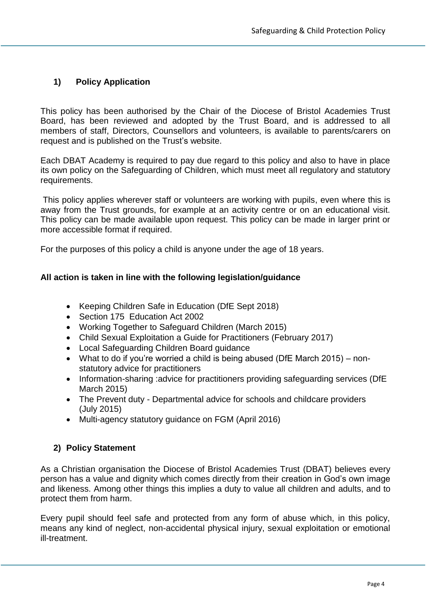#### <span id="page-3-0"></span>**1) Policy Application**

This policy has been authorised by the Chair of the Diocese of Bristol Academies Trust Board, has been reviewed and adopted by the Trust Board, and is addressed to all members of staff, Directors, Counsellors and volunteers, is available to parents/carers on request and is published on the Trust's website.

Each DBAT Academy is required to pay due regard to this policy and also to have in place its own policy on the Safeguarding of Children, which must meet all regulatory and statutory requirements.

This policy applies wherever staff or volunteers are working with pupils, even where this is away from the Trust grounds, for example at an activity centre or on an educational visit. This policy can be made available upon request. This policy can be made in larger print or more accessible format if required.

For the purposes of this policy a child is anyone under the age of 18 years.

#### **All action is taken in line with the following legislation/guidance**

- Keeping Children Safe in Education (DfE Sept 2018)
- Section 175 Education Act 2002
- Working Together to Safeguard Children (March 2015)
- Child Sexual Exploitation a Guide for Practitioners (February 2017)
- Local Safeguarding Children Board guidance
- What to do if you're worried a child is being abused (DfE March 2015) nonstatutory advice for practitioners
- Information-sharing :advice for practitioners providing safeguarding services (DfE March 2015)
- The Prevent duty Departmental advice for schools and childcare providers (July 2015)
- Multi-agency statutory guidance on FGM (April 2016)

#### <span id="page-3-1"></span>**2) Policy Statement**

As a Christian organisation the Diocese of Bristol Academies Trust (DBAT) believes every person has a value and dignity which comes directly from their creation in God's own image and likeness. Among other things this implies a duty to value all children and adults, and to protect them from harm.

Every pupil should feel safe and protected from any form of abuse which, in this policy, means any kind of neglect, non-accidental physical injury, sexual exploitation or emotional ill-treatment.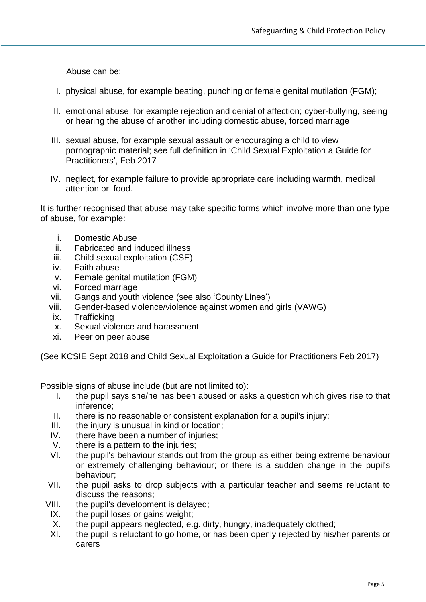Abuse can be:

- I. physical abuse, for example beating, punching or female genital mutilation (FGM);
- II. emotional abuse, for example rejection and denial of affection; cyber-bullying, seeing or hearing the abuse of another including domestic abuse, forced marriage
- III. sexual abuse, for example sexual assault or encouraging a child to view pornographic material; see full definition in 'Child Sexual Exploitation a Guide for Practitioners', Feb 2017
- IV. neglect, for example failure to provide appropriate care including warmth, medical attention or, food.

It is further recognised that abuse may take specific forms which involve more than one type of abuse, for example:

- i. Domestic Abuse
- ii. Fabricated and induced illness
- iii. Child sexual exploitation (CSE)
- iv. Faith abuse
- v. Female genital mutilation (FGM)
- vi. Forced marriage
- vii. Gangs and youth violence (see also 'County Lines')
- viii. Gender-based violence/violence against women and girls (VAWG)
- ix. Trafficking
- x. Sexual violence and harassment
- xi. Peer on peer abuse

(See KCSIE Sept 2018 and Child Sexual Exploitation a Guide for Practitioners Feb 2017)

Possible signs of abuse include (but are not limited to):

- I. the pupil says she/he has been abused or asks a question which gives rise to that inference;
- II. there is no reasonable or consistent explanation for a pupil's injury;
- III. the injury is unusual in kind or location;
- IV. there have been a number of injuries;
- V. there is a pattern to the injuries;
- VI. the pupil's behaviour stands out from the group as either being extreme behaviour or extremely challenging behaviour; or there is a sudden change in the pupil's behaviour;
- VII. the pupil asks to drop subjects with a particular teacher and seems reluctant to discuss the reasons;
- VIII. the pupil's development is delayed;
- IX. the pupil loses or gains weight;
- X. the pupil appears neglected, e.g. dirty, hungry, inadequately clothed;
- XI. the pupil is reluctant to go home, or has been openly rejected by his/her parents or carers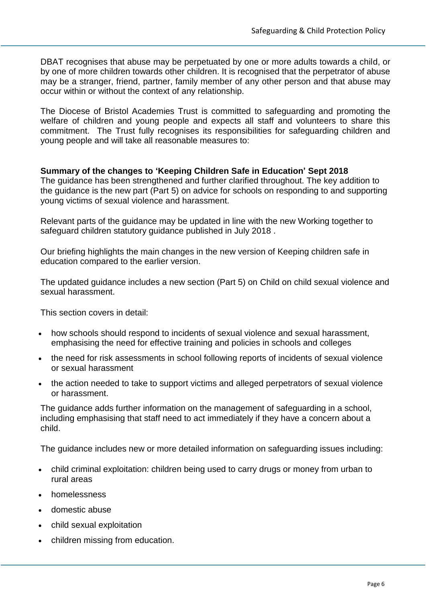DBAT recognises that abuse may be perpetuated by one or more adults towards a child, or by one of more children towards other children. It is recognised that the perpetrator of abuse may be a stranger, friend, partner, family member of any other person and that abuse may occur within or without the context of any relationship.

The Diocese of Bristol Academies Trust is committed to safeguarding and promoting the welfare of children and young people and expects all staff and volunteers to share this commitment. The Trust fully recognises its responsibilities for safeguarding children and young people and will take all reasonable measures to:

#### **Summary of the changes to 'Keeping Children Safe in Education' Sept 2018**

The guidance has been strengthened and further clarified throughout. The key addition to the guidance is the new part (Part 5) on advice for schools on responding to and supporting young victims of sexual violence and harassment.

Relevant parts of the guidance may be updated in line with the new Working together to safeguard children statutory guidance published in July 2018 .

Our briefing highlights the main changes in the new version of Keeping children safe in education compared to the earlier version.

The updated guidance includes a new section (Part 5) on Child on child sexual violence and sexual harassment.

This section covers in detail:

- how schools should respond to incidents of sexual violence and sexual harassment, emphasising the need for effective training and policies in schools and colleges
- the need for risk assessments in school following reports of incidents of sexual violence or sexual harassment
- the action needed to take to support victims and alleged perpetrators of sexual violence or harassment.

The guidance adds further information on the management of safeguarding in a school, including emphasising that staff need to act immediately if they have a concern about a child.

The guidance includes new or more detailed information on safeguarding issues including:

- child criminal exploitation: children being used to carry drugs or money from urban to rural areas
- homelessness
- domestic abuse
- child sexual exploitation
- children missing from education.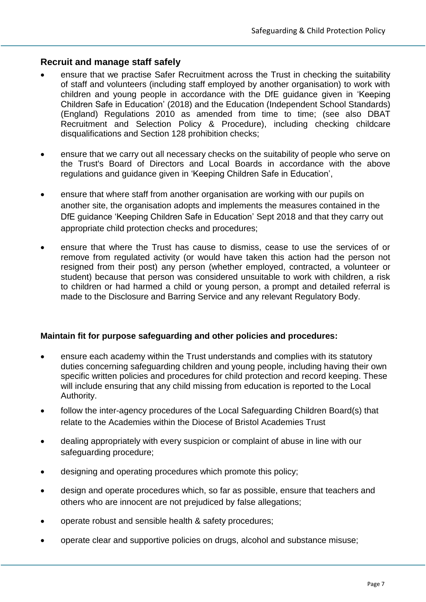#### **Recruit and manage staff safely**

- ensure that we practise Safer Recruitment across the Trust in checking the suitability of staff and volunteers (including staff employed by another organisation) to work with children and young people in accordance with the DfE guidance given in 'Keeping Children Safe in Education' (2018) and the Education (Independent School Standards) (England) Regulations 2010 as amended from time to time; (see also DBAT Recruitment and Selection Policy & Procedure), including checking childcare disqualifications and Section 128 prohibition checks;
- ensure that we carry out all necessary checks on the suitability of people who serve on the Trust's Board of Directors and Local Boards in accordance with the above regulations and guidance given in 'Keeping Children Safe in Education',
- ensure that where staff from another organisation are working with our pupils on another site, the organisation adopts and implements the measures contained in the DfE guidance 'Keeping Children Safe in Education' Sept 2018 and that they carry out appropriate child protection checks and procedures;
- ensure that where the Trust has cause to dismiss, cease to use the services of or remove from regulated activity (or would have taken this action had the person not resigned from their post) any person (whether employed, contracted, a volunteer or student) because that person was considered unsuitable to work with children, a risk to children or had harmed a child or young person, a prompt and detailed referral is made to the Disclosure and Barring Service and any relevant Regulatory Body.

#### **Maintain fit for purpose safeguarding and other policies and procedures:**

- ensure each academy within the Trust understands and complies with its statutory duties concerning safeguarding children and young people, including having their own specific written policies and procedures for child protection and record keeping. These will include ensuring that any child missing from education is reported to the Local Authority.
- follow the inter-agency procedures of the Local Safeguarding Children Board(s) that relate to the Academies within the Diocese of Bristol Academies Trust
- dealing appropriately with every suspicion or complaint of abuse in line with our safeguarding procedure;
- designing and operating procedures which promote this policy;
- design and operate procedures which, so far as possible, ensure that teachers and others who are innocent are not prejudiced by false allegations;
- operate robust and sensible health & safety procedures;
- operate clear and supportive policies on drugs, alcohol and substance misuse;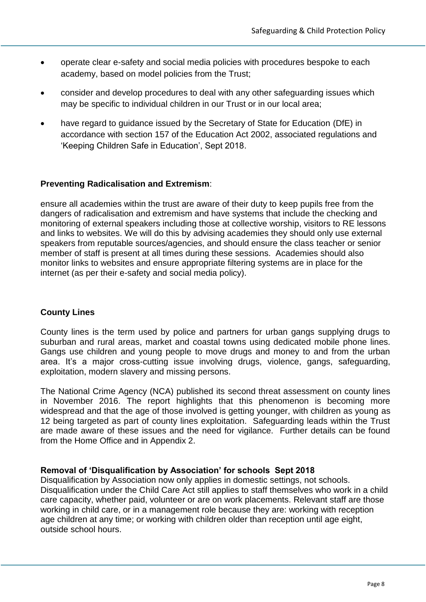- operate clear e-safety and social media policies with procedures bespoke to each academy, based on model policies from the Trust;
- consider and develop procedures to deal with any other safeguarding issues which may be specific to individual children in our Trust or in our local area;
- have regard to guidance issued by the Secretary of State for Education (DfE) in accordance with section 157 of the Education Act 2002, associated regulations and 'Keeping Children Safe in Education', Sept 2018.

#### **Preventing Radicalisation and Extremism**:

ensure all academies within the trust are aware of their duty to keep pupils free from the dangers of radicalisation and extremism and have systems that include the checking and monitoring of external speakers including those at collective worship, visitors to RE lessons and links to websites. We will do this by advising academies they should only use external speakers from reputable sources/agencies, and should ensure the class teacher or senior member of staff is present at all times during these sessions. Academies should also monitor links to websites and ensure appropriate filtering systems are in place for the internet (as per their e-safety and social media policy).

#### **County Lines**

County lines is the term used by police and partners for urban gangs supplying drugs to suburban and rural areas, market and coastal towns using dedicated mobile phone lines. Gangs use children and young people to move drugs and money to and from the urban area. It's a major cross-cutting issue involving drugs, violence, gangs, safeguarding, exploitation, modern slavery and missing persons.

The National Crime Agency (NCA) published its second threat assessment on county lines in November 2016. The report highlights that this phenomenon is becoming more widespread and that the age of those involved is getting younger, with children as young as 12 being targeted as part of county lines exploitation. Safeguarding leads within the Trust are made aware of these issues and the need for vigilance. Further details can be found from the Home Office and in Appendix 2.

#### **Removal of 'Disqualification by Association' for schools Sept 2018**

Disqualification by Association now only applies in domestic settings, not schools. Disqualification under the Child Care Act still applies to staff themselves who work in a child care capacity, whether paid, volunteer or are on work placements. Relevant staff are those working in child care, or in a management role because they are: working with reception age children at any time; or working with children older than reception until age eight, outside school hours.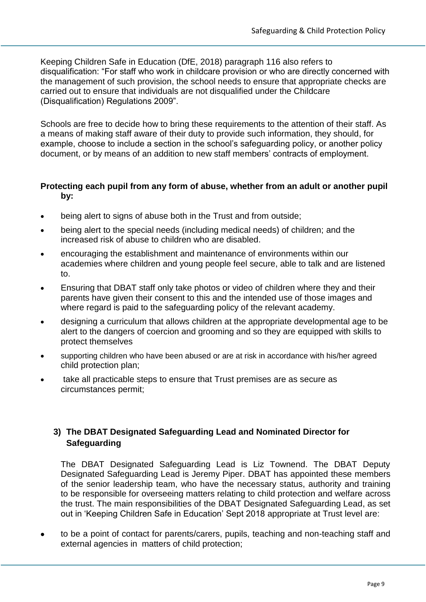Keeping Children Safe in Education (DfE, 2018) paragraph 116 also refers to disqualification: "For staff who work in childcare provision or who are directly concerned with the management of such provision, the school needs to ensure that appropriate checks are carried out to ensure that individuals are not disqualified under the Childcare (Disqualification) Regulations 2009".

Schools are free to decide how to bring these requirements to the attention of their staff. As a means of making staff aware of their duty to provide such information, they should, for example, choose to include a section in the school's safeguarding policy, or another policy document, or by means of an addition to new staff members' contracts of employment.

#### **Protecting each pupil from any form of abuse, whether from an adult or another pupil by:**

- being alert to signs of abuse both in the Trust and from outside;
- being alert to the special needs (including medical needs) of children; and the increased risk of abuse to children who are disabled.
- encouraging the establishment and maintenance of environments within our academies where children and young people feel secure, able to talk and are listened to.
- Ensuring that DBAT staff only take photos or video of children where they and their parents have given their consent to this and the intended use of those images and where regard is paid to the safeguarding policy of the relevant academy.
- designing a curriculum that allows children at the appropriate developmental age to be alert to the dangers of coercion and grooming and so they are equipped with skills to protect themselves
- supporting children who have been abused or are at risk in accordance with his/her agreed child protection plan;
- take all practicable steps to ensure that Trust premises are as secure as circumstances permit;

#### <span id="page-8-0"></span>**3) The DBAT Designated Safeguarding Lead and Nominated Director for Safeguarding**

The DBAT Designated Safeguarding Lead is Liz Townend. The DBAT Deputy Designated Safeguarding Lead is Jeremy Piper. DBAT has appointed these members of the senior leadership team, who have the necessary status, authority and training to be responsible for overseeing matters relating to child protection and welfare across the trust. The main responsibilities of the DBAT Designated Safeguarding Lead, as set out in 'Keeping Children Safe in Education' Sept 2018 appropriate at Trust level are:

 to be a point of contact for parents/carers, pupils, teaching and non-teaching staff and external agencies in matters of child protection;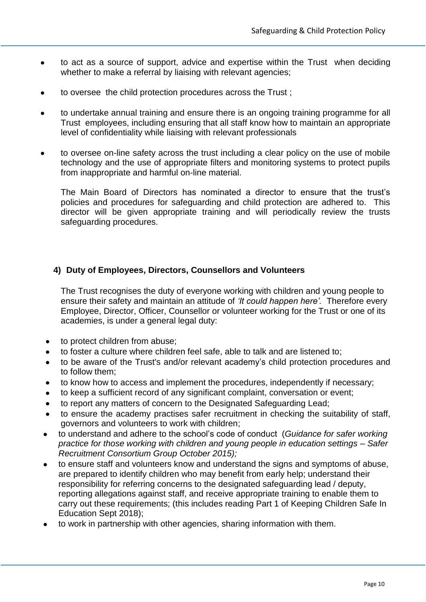- to act as a source of support, advice and expertise within the Trust when deciding whether to make a referral by liaising with relevant agencies;
- to oversee the child protection procedures across the Trust ;
- to undertake annual training and ensure there is an ongoing training programme for all Trust employees, including ensuring that all staff know how to maintain an appropriate level of confidentiality while liaising with relevant professionals
- to oversee on-line safety across the trust including a clear policy on the use of mobile technology and the use of appropriate filters and monitoring systems to protect pupils from inappropriate and harmful on-line material.

The Main Board of Directors has nominated a director to ensure that the trust's policies and procedures for safeguarding and child protection are adhered to. This director will be given appropriate training and will periodically review the trusts safeguarding procedures.

#### <span id="page-9-0"></span>**4) Duty of Employees, Directors, Counsellors and Volunteers**

The Trust recognises the duty of everyone working with children and young people to ensure their safety and maintain an attitude of *'It could happen here'.* Therefore every Employee, Director, Officer, Counsellor or volunteer working for the Trust or one of its academies, is under a general legal duty:

- to protect children from abuse;
- to foster a culture where children feel safe, able to talk and are listened to;
- to be aware of the Trust's and/or relevant academy's child protection procedures and to follow them;
- to know how to access and implement the procedures, independently if necessary;
- to keep a sufficient record of any significant complaint, conversation or event;
- to report any matters of concern to the Designated Safeguarding Lead;
- to ensure the academy practises safer recruitment in checking the suitability of staff, governors and volunteers to work with children;
- to understand and adhere to the school's code of conduct (*Guidance for safer working practice for those working with children and young people in education settings – Safer Recruitment Consortium Group October 2015);*
- to ensure staff and volunteers know and understand the signs and symptoms of abuse, are prepared to identify children who may benefit from early help; understand their responsibility for referring concerns to the designated safeguarding lead / deputy, reporting allegations against staff, and receive appropriate training to enable them to carry out these requirements; (this includes reading Part 1 of Keeping Children Safe In Education Sept 2018);
- to work in partnership with other agencies, sharing information with them.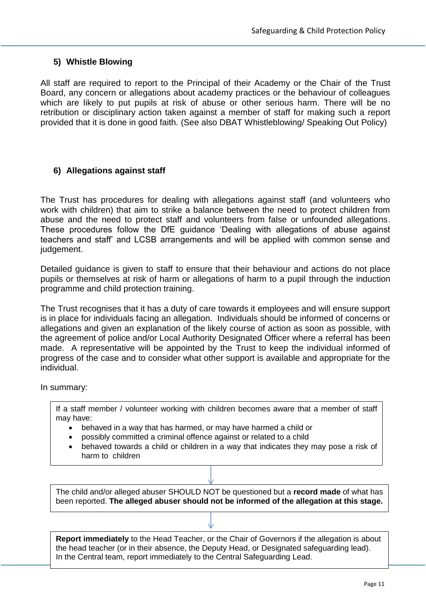#### <span id="page-10-0"></span>**5) Whistle Blowing**

All staff are required to report to the Principal of their Academy or the Chair of the Trust Board, any concern or allegations about academy practices or the behaviour of colleagues which are likely to put pupils at risk of abuse or other serious harm. There will be no retribution or disciplinary action taken against a member of staff for making such a report provided that it is done in good faith. (See also DBAT Whistleblowing/ Speaking Out Policy)

#### <span id="page-10-1"></span>**6) Allegations against staff**

The Trust has procedures for dealing with allegations against staff (and volunteers who work with children) that aim to strike a balance between the need to protect children from abuse and the need to protect staff and volunteers from false or unfounded allegations. These procedures follow the DfE guidance 'Dealing with allegations of abuse against teachers and staff' and LCSB arrangements and will be applied with common sense and judgement.

Detailed guidance is given to staff to ensure that their behaviour and actions do not place pupils or themselves at risk of harm or allegations of harm to a pupil through the induction programme and child protection training.

The Trust recognises that it has a duty of care towards it employees and will ensure support is in place for individuals facing an allegation. Individuals should be informed of concerns or allegations and given an explanation of the likely course of action as soon as possible, with the agreement of police and/or Local Authority Designated Officer where a referral has been made. A representative will be appointed by the Trust to keep the individual informed of progress of the case and to consider what other support is available and appropriate for the individual.

In summary:

If a staff member / volunteer working with children becomes aware that a member of staff may have:

- behaved in a way that has harmed, or may have harmed a child or
- possibly committed a criminal offence against or related to a child
- behaved towards a child or children in a way that indicates they may pose a risk of harm to children

The child and/or alleged abuser SHOULD NOT be questioned but a **record made** of what has been reported. **The alleged abuser should not be informed of the allegation at this stage.**

**Report immediately** to the Head Teacher, or the Chair of Governors if the allegation is about the head teacher (or in their absence, the Deputy Head, or Designated safeguarding lead). In the Central team, report immediately to the Central Safeguarding Lead.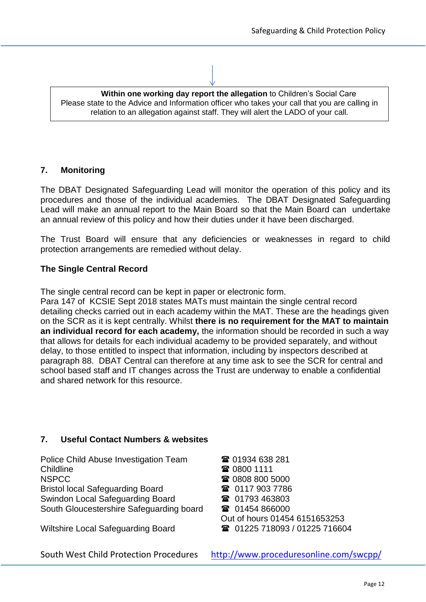| Within one working day report the allegation to Children's Social Care                         |  |  |  |  |
|------------------------------------------------------------------------------------------------|--|--|--|--|
| Please state to the Advice and Information officer who takes your call that you are calling in |  |  |  |  |
| relation to an allegation against staff. They will alert the LADO of your call.                |  |  |  |  |

#### <span id="page-11-0"></span>**7. Monitoring**

The DBAT Designated Safeguarding Lead will monitor the operation of this policy and its procedures and those of the individual academies. The DBAT Designated Safeguarding Lead will make an annual report to the Main Board so that the Main Board can undertake an annual review of this policy and how their duties under it have been discharged.

The Trust Board will ensure that any deficiencies or weaknesses in regard to child protection arrangements are remedied without delay.

#### **The Single Central Record**

The single central record can be kept in paper or electronic form.

Para 147 of KCSIE Sept 2018 states MATs must maintain the single central record detailing checks carried out in each academy within the MAT. These are the headings given on the SCR as it is kept centrally. Whilst **there is no requirement for the MAT to maintain an individual record for each academy,** the information should be recorded in such a way that allows for details for each individual academy to be provided separately, and without delay, to those entitled to inspect that information, including by inspectors described at paragraph 88. DBAT Central can therefore at any time ask to see the SCR for central and school based staff and IT changes across the Trust are underway to enable a confidential and shared network for this resource.

#### <span id="page-11-1"></span>**7. Useful Contact Numbers & websites**

Police Child Abuse Investigation Team **<b>**  01934 638 281 Childline **10800 1111** 1111 12 NSPCC 2008 800 5000 Bristol local Safeguarding Board **19 and 19 and 19 and 117 903 7786** Swindon Local Safeguarding Board **1988** 01793 463803 South Gloucestershire Safeguarding board  $\qquad \qquad \blacksquare$  01454 866000

Wiltshire Local Safeguarding Board **1225 718093** / 01225 716604

Out of hours 01454 6151653253

South West Child Protection Procedures <http://www.proceduresonline.com/swcpp/>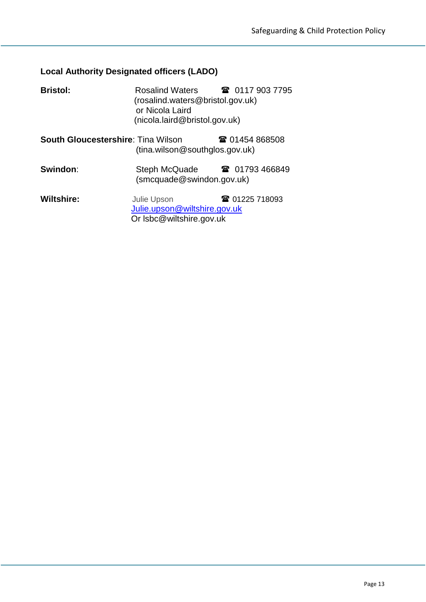# **Local Authority Designated officers (LADO)**

| <b>Bristol:</b>                           | Rosalind Waters 18 0117 903 7795<br>(rosalind.waters@bristol.gov.uk)<br>or Nicola Laird<br>(nicola.laird@bristol.gov.uk) |                |
|-------------------------------------------|--------------------------------------------------------------------------------------------------------------------------|----------------|
| <b>South Gloucestershire: Tina Wilson</b> | (tina.wilson@southglos.gov.uk)                                                                                           | ☎ 01454 868508 |
| Swindon:                                  | Steph McQuade<br>(smcquade@swindon.gov.uk)                                                                               | ■ 01793 466849 |
| <b>Wiltshire:</b>                         | <b>Julie Upson</b><br>Julie.upson@wiltshire.gov.uk<br>Or Isbc@wiltshire.gov.uk                                           | ☎ 01225 718093 |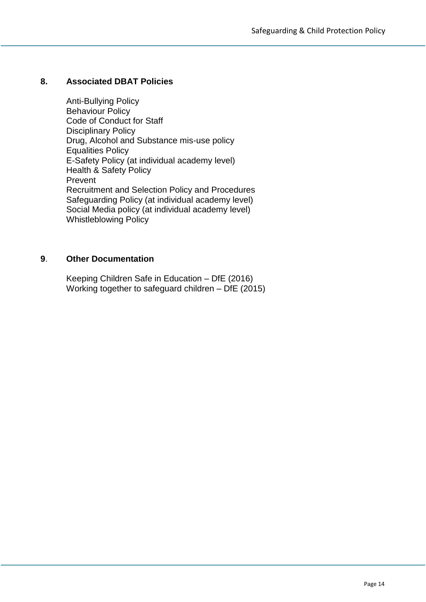#### **8. Associated DBAT Policies**

Anti-Bullying Policy Behaviour Policy Code of Conduct for Staff Disciplinary Policy Drug, Alcohol and Substance mis-use policy Equalities Policy E-Safety Policy (at individual academy level) Health & Safety Policy Prevent Recruitment and Selection Policy and Procedures Safeguarding Policy (at individual academy level) Social Media policy (at individual academy level) Whistleblowing Policy

#### **9**. **Other Documentation**

Keeping Children Safe in Education – DfE (2016) Working together to safeguard children – DfE (2015)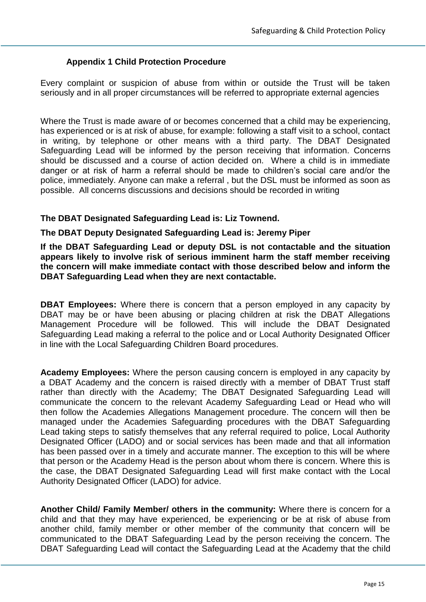#### **Appendix 1 Child Protection Procedure**

<span id="page-14-0"></span>Every complaint or suspicion of abuse from within or outside the Trust will be taken seriously and in all proper circumstances will be referred to appropriate external agencies

Where the Trust is made aware of or becomes concerned that a child may be experiencing, has experienced or is at risk of abuse, for example: following a staff visit to a school, contact in writing, by telephone or other means with a third party. The DBAT Designated Safeguarding Lead will be informed by the person receiving that information. Concerns should be discussed and a course of action decided on. Where a child is in immediate danger or at risk of harm a referral should be made to children's social care and/or the police, immediately. Anyone can make a referral , but the DSL must be informed as soon as possible. All concerns discussions and decisions should be recorded in writing

#### **The DBAT Designated Safeguarding Lead is: Liz Townend.**

#### **The DBAT Deputy Designated Safeguarding Lead is: Jeremy Piper**

**If the DBAT Safeguarding Lead or deputy DSL is not contactable and the situation appears likely to involve risk of serious imminent harm the staff member receiving the concern will make immediate contact with those described below and inform the DBAT Safeguarding Lead when they are next contactable.**

**DBAT Employees:** Where there is concern that a person employed in any capacity by DBAT may be or have been abusing or placing children at risk the DBAT Allegations Management Procedure will be followed. This will include the DBAT Designated Safeguarding Lead making a referral to the police and or Local Authority Designated Officer in line with the Local Safeguarding Children Board procedures.

**Academy Employees:** Where the person causing concern is employed in any capacity by a DBAT Academy and the concern is raised directly with a member of DBAT Trust staff rather than directly with the Academy; The DBAT Designated Safeguarding Lead will communicate the concern to the relevant Academy Safeguarding Lead or Head who will then follow the Academies Allegations Management procedure. The concern will then be managed under the Academies Safeguarding procedures with the DBAT Safeguarding Lead taking steps to satisfy themselves that any referral required to police, Local Authority Designated Officer (LADO) and or social services has been made and that all information has been passed over in a timely and accurate manner. The exception to this will be where that person or the Academy Head is the person about whom there is concern. Where this is the case, the DBAT Designated Safeguarding Lead will first make contact with the Local Authority Designated Officer (LADO) for advice.

**Another Child/ Family Member/ others in the community:** Where there is concern for a child and that they may have experienced, be experiencing or be at risk of abuse from another child, family member or other member of the community that concern will be communicated to the DBAT Safeguarding Lead by the person receiving the concern. The DBAT Safeguarding Lead will contact the Safeguarding Lead at the Academy that the child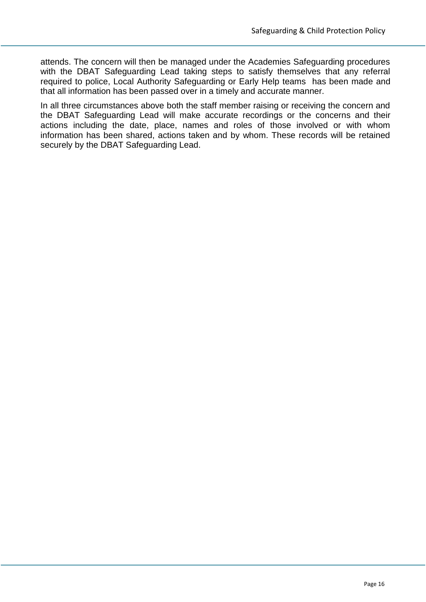attends. The concern will then be managed under the Academies Safeguarding procedures with the DBAT Safeguarding Lead taking steps to satisfy themselves that any referral required to police, Local Authority Safeguarding or Early Help teams has been made and that all information has been passed over in a timely and accurate manner.

In all three circumstances above both the staff member raising or receiving the concern and the DBAT Safeguarding Lead will make accurate recordings or the concerns and their actions including the date, place, names and roles of those involved or with whom information has been shared, actions taken and by whom. These records will be retained securely by the DBAT Safeguarding Lead.